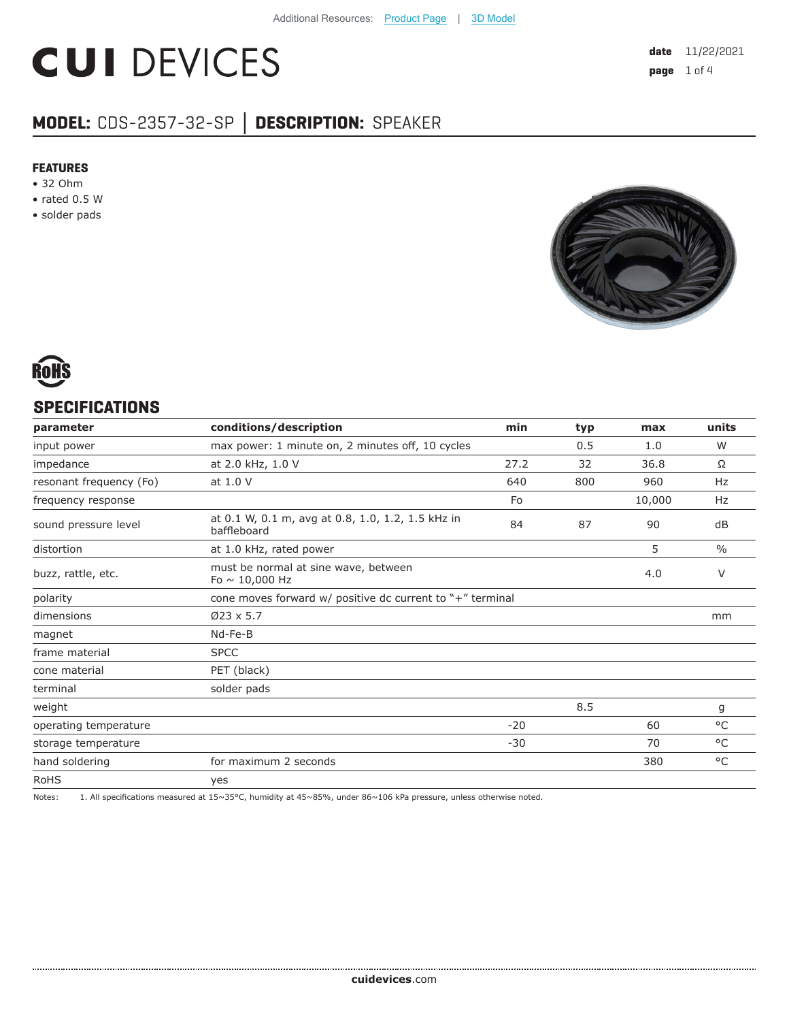# **CUI DEVICES**

## **MODEL:** CDS-2357-32-SP **│ DESCRIPTION:** SPEAKER

#### **FEATURES**

- 32 Ohm
- rated 0.5 W
- solder pads





#### **SPECIFICATIONS**

| conditions/description<br>min<br>parameter                                               |       | typ | max    | units         |
|------------------------------------------------------------------------------------------|-------|-----|--------|---------------|
| max power: 1 minute on, 2 minutes off, 10 cycles<br>input power                          |       | 0.5 | 1.0    | W             |
| at 2.0 kHz, 1.0 V<br>impedance                                                           | 27.2  | 32  | 36.8   | Ω             |
| at 1.0 V<br>resonant frequency (Fo)                                                      | 640   | 800 | 960    | Hz            |
| frequency response                                                                       | Fo    |     | 10,000 | Hz            |
| at 0.1 W, 0.1 m, avg at 0.8, 1.0, 1.2, 1.5 kHz in<br>sound pressure level<br>baffleboard | 84    | 87  | 90     | dB            |
| distortion<br>at 1.0 kHz, rated power                                                    |       |     | 5      | $\frac{0}{0}$ |
| must be normal at sine wave, between<br>buzz, rattle, etc.<br>Fo $\sim$ 10,000 Hz        |       |     | 4.0    | V             |
| cone moves forward w/ positive dc current to "+" terminal<br>polarity                    |       |     |        |               |
| $Ø23 \times 5.7$<br>dimensions                                                           |       |     |        | mm            |
| Nd-Fe-B<br>magnet                                                                        |       |     |        |               |
| <b>SPCC</b><br>frame material                                                            |       |     |        |               |
| PET (black)<br>cone material                                                             |       |     |        |               |
| solder pads<br>terminal                                                                  |       |     |        |               |
| weight                                                                                   |       | 8.5 |        | g             |
| operating temperature                                                                    | $-20$ |     | 60     | °C            |
| storage temperature                                                                      | $-30$ |     | 70     | $^{\circ}$ C  |
| hand soldering<br>for maximum 2 seconds                                                  |       |     | 380    | °C            |
| <b>RoHS</b><br>yes                                                                       |       |     |        |               |

Notes: 1. All specifications measured at 15~35°C, humidity at 45~85%, under 86~106 kPa pressure, unless otherwise noted.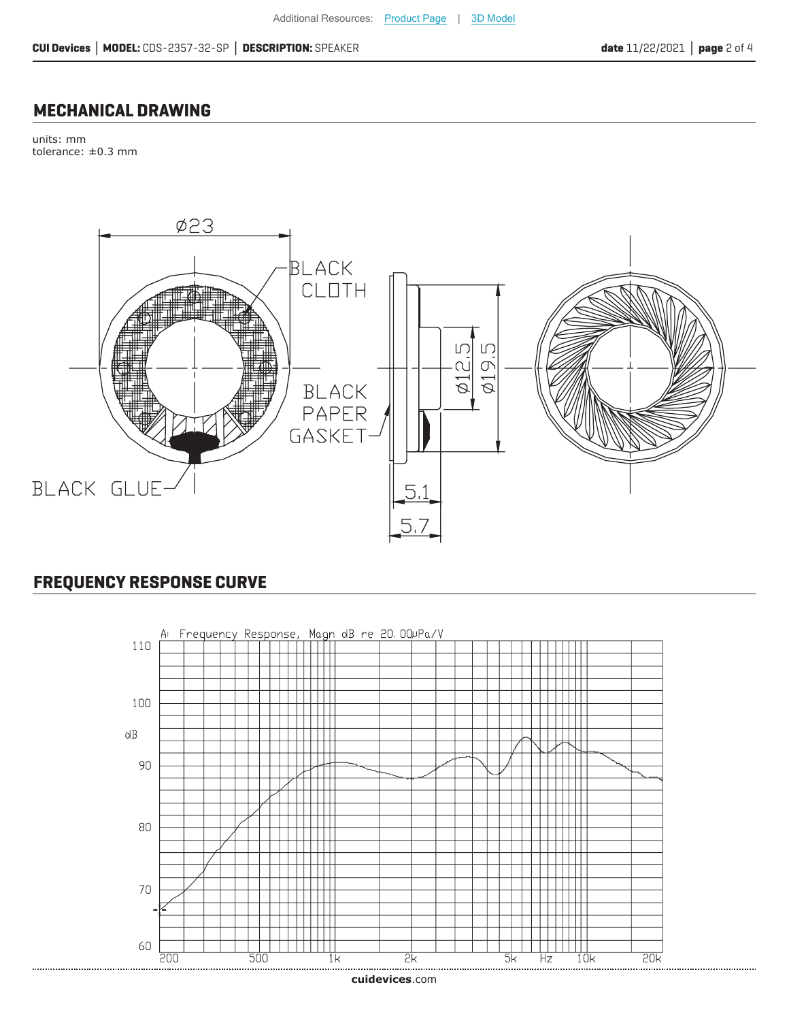#### **MECHANICAL DRAWING**

units: mm tolerance: ±0.3 mm



### **FREQUENCY RESPONSE CURVE**

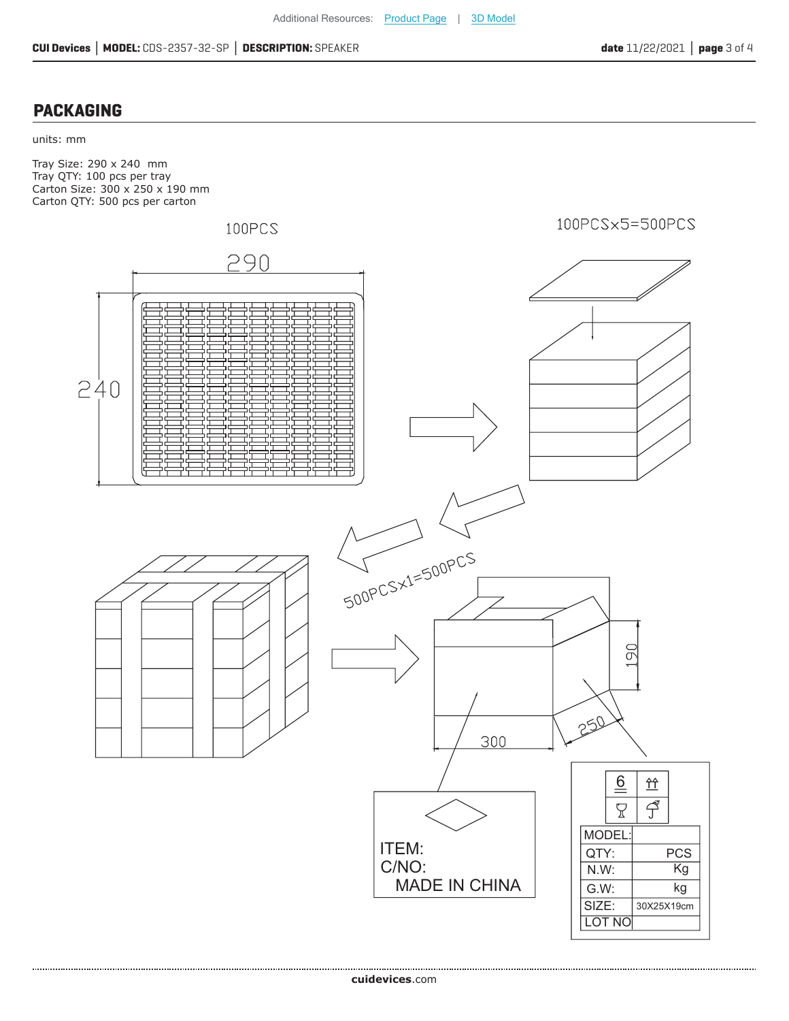#### **PACKAGING**

#### units: mm

Tray Size: 290 x 240 mm Tray QTY: 100 pcs per tray Carton Size: 300 x 250 x 190 mm Carton QTY: 500 pcs per carton